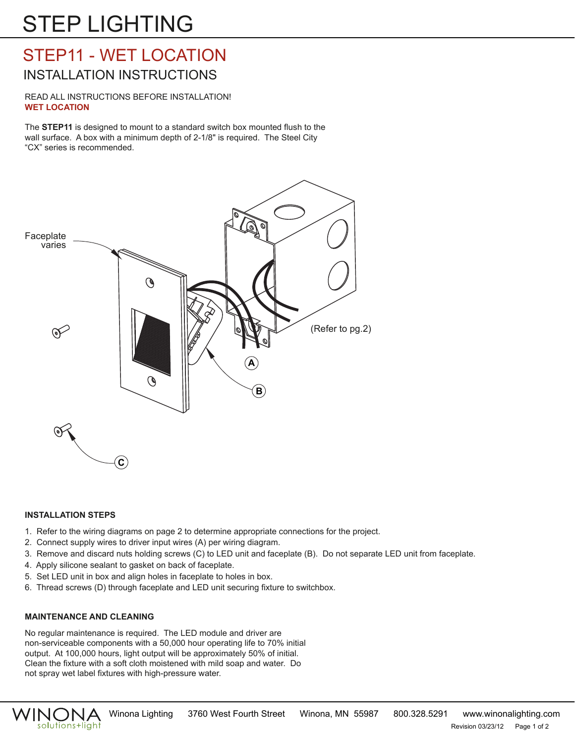# STEP LIGHTING

## STEP11 - WET LOCATION INSTALLATION INSTRUCTIONS

READ ALL INSTRUCTIONS BEFORE INSTALLATION! **WET LOCATION**

The **STEP11** is designed to mount to a standard switch box mounted flush to the wall surface. A box with a minimum depth of 2-1/8" is required. The Steel City "CX" series is recommended.



## **INSTALLATION STEPS**

- 1. Refer to the wiring diagrams on page 2 to determine appropriate connections for the project.
- 2. Connect supply wires to driver input wires (A) per wiring diagram.
- 3. Remove and discard nuts holding screws (C) to LED unit and faceplate (B). Do not separate LED unit from faceplate.
- 4. Apply silicone sealant to gasket on back of faceplate.
- 5. Set LED unit in box and align holes in faceplate to holes in box.
- 6. Thread screws (D) through faceplate and LED unit securing fixture to switchbox.

## **MAINTENANCE AND CLEANING**

No regular maintenance is required. The LED module and driver are non-serviceable components with a 50,000 hour operating life to 70% initial output. At 100,000 hours, light output will be approximately 50% of initial. Clean the fixture with a soft cloth moistened with mild soap and water. Do not spray wet label fixtures with high-pressure water.